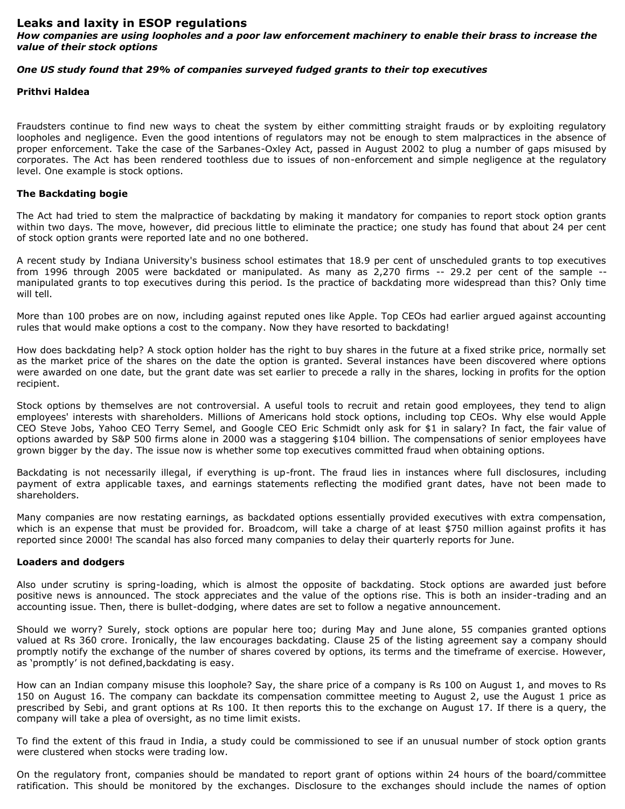# **Leaks and laxity in ESOP regulations**

*How companies are using loopholes and a poor law enforcement machinery to enable their brass to increase the value of their stock options* 

## *One US study found that 29% of companies surveyed fudged grants to their top executives*

### **Prithvi Haldea**

Fraudsters continue to find new ways to cheat the system by either committing straight frauds or by exploiting regulatory loopholes and negligence. Even the good intentions of regulators may not be enough to stem malpractices in the absence of proper enforcement. Take the case of the Sarbanes-Oxley Act, passed in August 2002 to plug a number of gaps misused by corporates. The Act has been rendered toothless due to issues of non-enforcement and simple negligence at the regulatory level. One example is stock options.

### **The Backdating bogie**

The Act had tried to stem the malpractice of backdating by making it mandatory for companies to report stock option grants within two days. The move, however, did precious little to eliminate the practice; one study has found that about 24 per cent of stock option grants were reported late and no one bothered.

A recent study by Indiana University's business school estimates that 18.9 per cent of unscheduled grants to top executives from 1996 through 2005 were backdated or manipulated. As many as 2,270 firms -- 29.2 per cent of the sample - manipulated grants to top executives during this period. Is the practice of backdating more widespread than this? Only time will tell.

More than 100 probes are on now, including against reputed ones like Apple. Top CEOs had earlier argued against accounting rules that would make options a cost to the company. Now they have resorted to backdating!

How does backdating help? A stock option holder has the right to buy shares in the future at a fixed strike price, normally set as the market price of the shares on the date the option is granted. Several instances have been discovered where options were awarded on one date, but the grant date was set earlier to precede a rally in the shares, locking in profits for the option recipient.

Stock options by themselves are not controversial. A useful tools to recruit and retain good employees, they tend to align employees' interests with shareholders. Millions of Americans hold stock options, including top CEOs. Why else would Apple CEO Steve Jobs, Yahoo CEO Terry Semel, and Google CEO Eric Schmidt only ask for \$1 in salary? In fact, the fair value of options awarded by S&P 500 firms alone in 2000 was a staggering \$104 billion. The compensations of senior employees have grown bigger by the day. The issue now is whether some top executives committed fraud when obtaining options.

Backdating is not necessarily illegal, if everything is up-front. The fraud lies in instances where full disclosures, including payment of extra applicable taxes, and earnings statements reflecting the modified grant dates, have not been made to shareholders.

Many companies are now restating earnings, as backdated options essentially provided executives with extra compensation, which is an expense that must be provided for. Broadcom, will take a charge of at least \$750 million against profits it has reported since 2000! The scandal has also forced many companies to delay their quarterly reports for June.

### **Loaders and dodgers**

Also under scrutiny is spring-loading, which is almost the opposite of backdating. Stock options are awarded just before positive news is announced. The stock appreciates and the value of the options rise. This is both an insider-trading and an accounting issue. Then, there is bullet-dodging, where dates are set to follow a negative announcement.

Should we worry? Surely, stock options are popular here too; during May and June alone, 55 companies granted options valued at Rs 360 crore. Ironically, the law encourages backdating. Clause 25 of the listing agreement say a company should promptly notify the exchange of the number of shares covered by options, its terms and the timeframe of exercise. However, as 'promptly' is not defined,backdating is easy.

How can an Indian company misuse this loophole? Say, the share price of a company is Rs 100 on August 1, and moves to Rs 150 on August 16. The company can backdate its compensation committee meeting to August 2, use the August 1 price as prescribed by Sebi, and grant options at Rs 100. It then reports this to the exchange on August 17. If there is a query, the company will take a plea of oversight, as no time limit exists.

To find the extent of this fraud in India, a study could be commissioned to see if an unusual number of stock option grants were clustered when stocks were trading low.

On the regulatory front, companies should be mandated to report grant of options within 24 hours of the board/committee ratification. This should be monitored by the exchanges. Disclosure to the exchanges should include the names of option